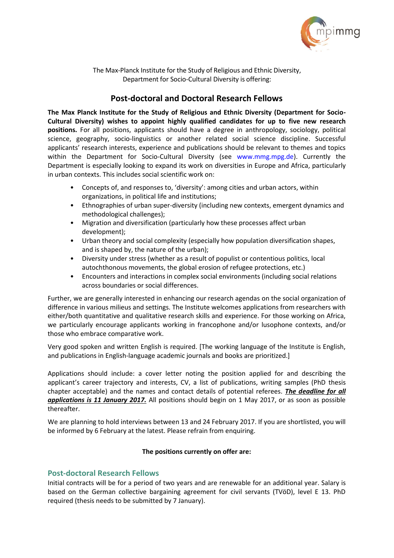

The Max-Planck Institute for the Study of Religious and Ethnic Diversity, Department for Socio-Cultural Diversity is offering:

## **Post-doctoral and Doctoral Research Fellows**

**The Max Planck Institute for the Study of Religious and Ethnic Diversity (Department for Socio-Cultural Diversity) wishes to appoint highly qualified candidates for up to five new research positions.** For all positions, applicants should have a degree in anthropology, sociology, political science, geography, socio-linguistics or another related social science discipline. Successful applicants' research interests, experience and publications should be relevant to themes and topics within the Department for Socio-Cultural Diversity (see [www.mmg.mpg.de\)](http://www.mmg.mpg.de/). Currently the Department is especially looking to expand its work on diversities in Europe and Africa, particularly in urban contexts. This includes social scientific work on:

- Concepts of, and responses to, 'diversity': among cities and urban actors, within organizations, in political life and institutions;
- Ethnographies of urban super-diversity (including new contexts, emergent dynamics and methodological challenges);
- Migration and diversification (particularly how these processes affect urban development);
- Urban theory and social complexity (especially how population diversification shapes, and is shaped by, the nature of the urban);
- Diversity under stress (whether as a result of populist or contentious politics, local autochthonous movements, the global erosion of refugee protections, etc.)
- Encounters and interactions in complex social environments (including social relations across boundaries or social differences.

Further, we are generally interested in enhancing our research agendas on the social organization of difference in various milieus and settings. The Institute welcomes applications from researchers with either/both quantitative and qualitative research skills and experience. For those working on Africa, we particularly encourage applicants working in francophone and/or lusophone contexts, and/or those who embrace comparative work.

Very good spoken and written English is required. [The working language of the Institute is English, and publications in English-language academic journals and books are prioritized.]

Applications should include: a cover letter noting the position applied for and describing the applicant's career trajectory and interests, CV, a list of publications, writing samples (PhD thesis chapter acceptable) and the names and contact details of potential referees. *The deadline for all applications is 11 January 2017.* All positions should begin on 1 May 2017, or as soon as possible thereafter.

We are planning to hold interviews between 13 and 24 February 2017. If you are shortlisted, you will be informed by 6 February at the latest. Please refrain from enquiring.

## **The positions currently on offer are:**

## **Post-doctoral Research Fellows**

Initial contracts will be for a period of two years and are renewable for an additional year. Salary is based on the German collective bargaining agreement for civil servants (TVöD), level E 13. PhD required (thesis needs to be submitted by 7 January).